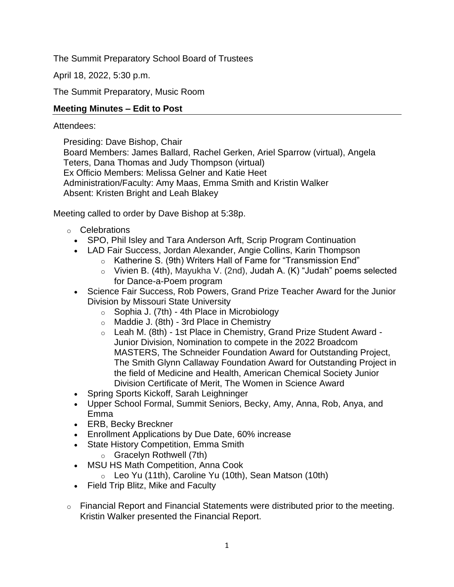The Summit Preparatory School Board of Trustees

April 18, 2022, 5:30 p.m.

The Summit Preparatory, Music Room

# **Meeting Minutes – Edit to Post**

## Attendees:

Presiding: Dave Bishop, Chair Board Members: James Ballard, Rachel Gerken, Ariel Sparrow (virtual), Angela Teters, Dana Thomas and Judy Thompson (virtual) Ex Officio Members: Melissa Gelner and Katie Heet Administration/Faculty: Amy Maas, Emma Smith and Kristin Walker Absent: Kristen Bright and Leah Blakey

Meeting called to order by Dave Bishop at 5:38p.

- o Celebrations
	- SPO, Phil Isley and Tara Anderson Arft, Scrip Program Continuation
	- LAD Fair Success, Jordan Alexander, Angie Collins, Karin Thompson
		- o Katherine S. (9th) Writers Hall of Fame for "Transmission End"
			- o Vivien B. (4th), Mayukha V. (2nd), Judah A. (K) "Judah" poems selected for Dance-a-Poem program
	- Science Fair Success, Rob Powers, Grand Prize Teacher Award for the Junior Division by Missouri State University
		- o Sophia J. (7th) 4th Place in Microbiology
		- $\circ$  Maddie J. (8th) 3rd Place in Chemistry
		- o Leah M. (8th) 1st Place in Chemistry, Grand Prize Student Award Junior Division, Nomination to compete in the 2022 Broadcom MASTERS, The Schneider Foundation Award for Outstanding Project, The Smith Glynn Callaway Foundation Award for Outstanding Project in the field of Medicine and Health, American Chemical Society Junior Division Certificate of Merit, The Women in Science Award
	- Spring Sports Kickoff, Sarah Leighninger
	- Upper School Formal, Summit Seniors, Becky, Amy, Anna, Rob, Anya, and Emma
	- ERB, Becky Breckner
	- Enrollment Applications by Due Date, 60% increase
	- State History Competition, Emma Smith
		- o Gracelyn Rothwell (7th)
	- MSU HS Math Competition, Anna Cook
		- $\circ$  Leo Yu (11th), Caroline Yu (10th), Sean Matson (10th)
	- Field Trip Blitz, Mike and Faculty
- o Financial Report and Financial Statements were distributed prior to the meeting. Kristin Walker presented the Financial Report.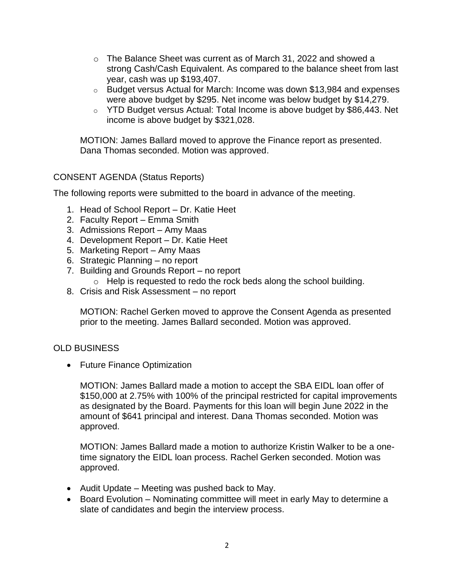- $\circ$  The Balance Sheet was current as of March 31, 2022 and showed a strong Cash/Cash Equivalent. As compared to the balance sheet from last year, cash was up \$193,407.
- o Budget versus Actual for March: Income was down \$13,984 and expenses were above budget by \$295. Net income was below budget by \$14,279.
- o YTD Budget versus Actual: Total Income is above budget by \$86,443. Net income is above budget by \$321,028.

MOTION: James Ballard moved to approve the Finance report as presented. Dana Thomas seconded. Motion was approved.

### CONSENT AGENDA (Status Reports)

The following reports were submitted to the board in advance of the meeting.

- 1. Head of School Report Dr. Katie Heet
- 2. Faculty Report Emma Smith
- 3. Admissions Report Amy Maas
- 4. Development Report Dr. Katie Heet
- 5. Marketing Report Amy Maas
- 6. Strategic Planning no report
- 7. Building and Grounds Report no report
	- o Help is requested to redo the rock beds along the school building.
- 8. Crisis and Risk Assessment no report

MOTION: Rachel Gerken moved to approve the Consent Agenda as presented prior to the meeting. James Ballard seconded. Motion was approved.

#### OLD BUSINESS

• Future Finance Optimization

MOTION: James Ballard made a motion to accept the SBA EIDL loan offer of \$150,000 at 2.75% with 100% of the principal restricted for capital improvements as designated by the Board. Payments for this loan will begin June 2022 in the amount of \$641 principal and interest. Dana Thomas seconded. Motion was approved.

MOTION: James Ballard made a motion to authorize Kristin Walker to be a onetime signatory the EIDL loan process. Rachel Gerken seconded. Motion was approved.

- Audit Update Meeting was pushed back to May.
- Board Evolution Nominating committee will meet in early May to determine a slate of candidates and begin the interview process.